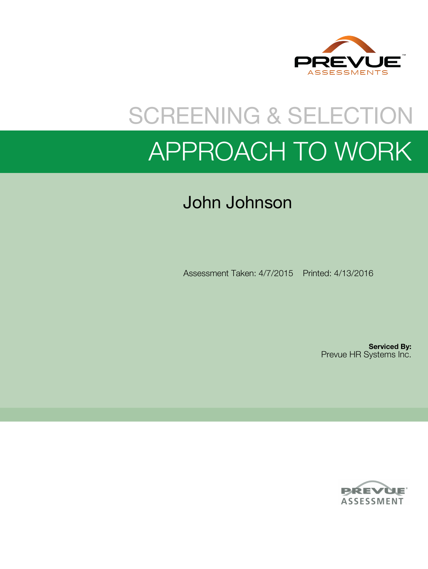

# SCREENING & SELECTION APPROACH TO WORK

## John Johnson

Assessment Taken: 4/7/2015 Printed: 4/13/2016

**Serviced By:** Prevue HR Systems Inc.

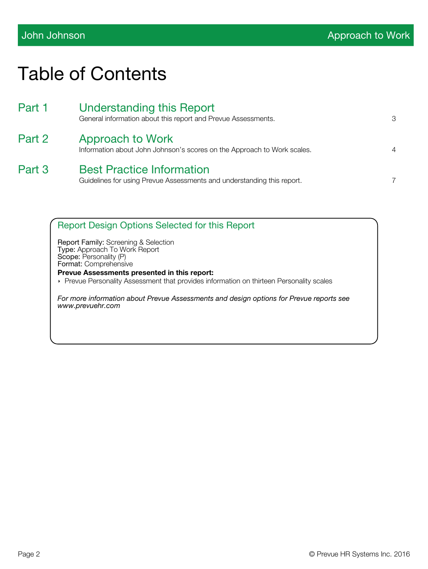## Table of Contents

| Part 1 | <b>Understanding this Report</b><br>General information about this report and Prevue Assessments.          | 3              |
|--------|------------------------------------------------------------------------------------------------------------|----------------|
| Part 2 | Approach to Work<br>Information about John Johnson's scores on the Approach to Work scales.                | $\overline{4}$ |
| Part 3 | <b>Best Practice Information</b><br>Guidelines for using Prevue Assessments and understanding this report. | 7              |

Report Design Options Selected for this Report

Report Family: Screening & Selection Type: Approach To Work Report Scope: Personality (P) Format: Comprehensive

**Prevue Assessments presented in this report:**

**Prevue Personality Assessment that provides information on thirteen Personality scales** 

*For more information about Prevue Assessments and design options for Prevue reports see www.prevuehr.com*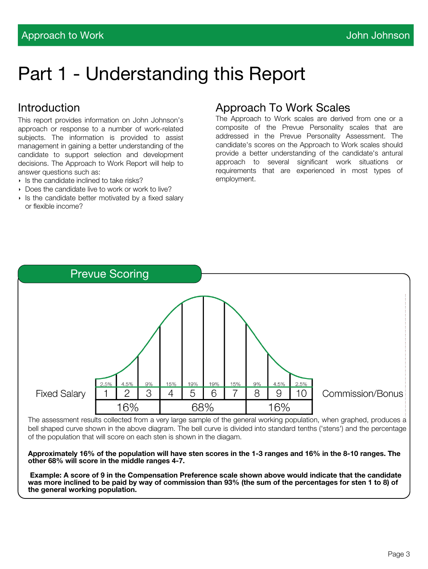## Part 1 - Understanding this Report

## Introduction

This report provides information on John Johnson's approach or response to a number of work-related subjects. The information is provided to assist management in gaining a better understanding of the candidate to support selection and development decisions. The Approach to Work Report will help to answer questions such as:

- $\triangleright$  Is the candidate inclined to take risks?
- Does the candidate live to work or work to live?
- $\triangleright$  Is the candidate better motivated by a fixed salary or flexible income?

### Approach To Work Scales

The Approach to Work scales are derived from one or a composite of the Prevue Personality scales that are addressed in the Prevue Personality Assessment. The candidate's scores on the Approach to Work scales should provide a better understanding of the candidate's antural approach to several significant work situations or requirements that are experienced in most types of employment.



The assessment results collected from a very large sample of the general working population, when graphed, produces a bell shaped curve shown in the above diagram. The bell curve is divided into standard tenths ('stens') and the percentage of the population that will score on each sten is shown in the diagam.

**Approximately 16% of the population will have sten scores in the 1-3 ranges and 16% in the 8-10 ranges. The other 68% will score in the middle ranges 4-7.** 

 **Example: A score of 9 in the Compensation Preference scale shown above would indicate that the candidate was more inclined to be paid by way of commission than 93% (the sum of the percentages for sten 1 to 8) of the general working population.**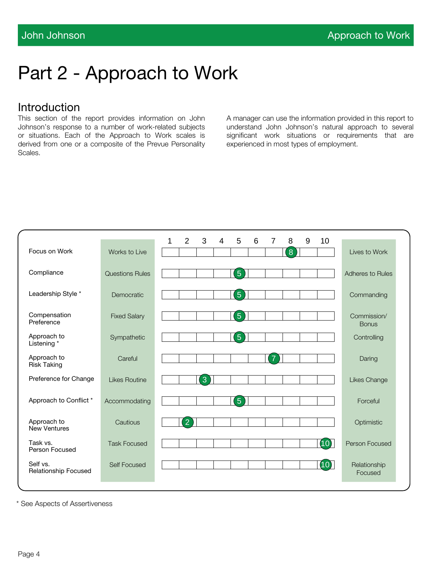## Part 2 - Approach to Work

### Introduction

This section of the report provides information on John Johnson's response to a number of work-related subjects or situations. Each of the Approach to Work scales is derived from one or a composite of the Prevue Personality Scales.

A manager can use the information provided in this report to understand John Johnson's natural approach to several significant work situations or requirements that are experienced in most types of employment.

|                                         |                        | 1 | 2              | 3 | 4 | 5               | 6 | 7 | 8 | 9 | 10   |                             |  |
|-----------------------------------------|------------------------|---|----------------|---|---|-----------------|---|---|---|---|------|-----------------------------|--|
| Focus on Work                           | Works to Live          |   |                |   |   |                 |   |   | 8 |   |      | Lives to Work               |  |
| Compliance                              | <b>Questions Rules</b> |   |                |   |   | $\overline{5}$  |   |   |   |   |      | Adheres to Rules            |  |
| Leadership Style *                      | Democratic             |   |                |   |   | $\sqrt{5}$      |   |   |   |   |      | Commanding                  |  |
| Compensation<br>Preference              | <b>Fixed Salary</b>    |   |                |   |   | $5\overline{)}$ |   |   |   |   |      | Commission/<br><b>Bonus</b> |  |
| Approach to<br>Listening *              | Sympathetic            |   |                |   |   | 5               |   |   |   |   |      | Controlling                 |  |
| Approach to<br><b>Risk Taking</b>       | Careful                |   |                |   |   |                 |   | 7 |   |   |      | Daring                      |  |
| Preference for Change                   | <b>Likes Routine</b>   |   |                | 3 |   |                 |   |   |   |   |      | Likes Change                |  |
| Approach to Conflict *                  | Accommodating          |   |                |   |   | $\overline{5}$  |   |   |   |   |      | Forceful                    |  |
| Approach to<br><b>New Ventures</b>      | Cautious               |   | $\overline{2}$ |   |   |                 |   |   |   |   |      | Optimistic                  |  |
| Task vs.<br>Person Focused              | <b>Task Focused</b>    |   |                |   |   |                 |   |   |   |   | (10) | Person Focused              |  |
| Self vs.<br><b>Relationship Focused</b> | <b>Self Focused</b>    |   |                |   |   |                 |   |   |   |   | (10) | Relationship<br>Focused     |  |

\* See Aspects of Assertiveness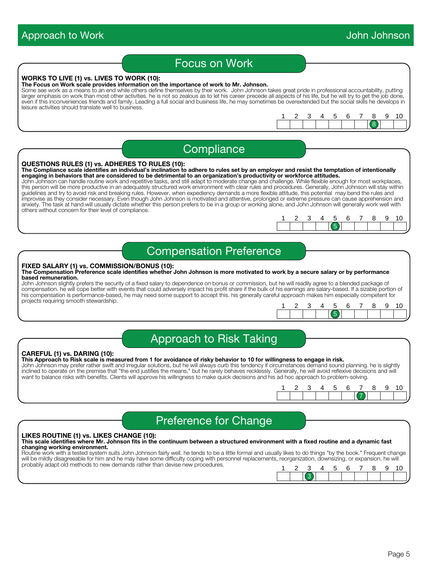### Approach to Work **Approach to Work Approach Approach Approach** Approach Approach Approach Approach Approach Approach Approach Approach Approach Approach Approach Approach Approach Approach Approach Approach Approach Approa Focus on Work **WORKS TO LIVE (1) vs. LIVES TO WORK (10): The Focus on Work scale provides information on the importance of work to Mr. Johnson.** Some see work as a means to an end while others define themselves by their work. John Johnson takes great pride in professional accountability, putting larger emphasis on work than most other activities. he is not so zealous as to let his career precede all aspects of his life, but he will try to get the job done, even if this inconveniences friends and family. Leading a full social and business life, he may sometimes be overextended but the social skills he develops in leisure activities should translate well to business. 8 1 2 3 4 5 6 7 8 9 10 **Compliance QUESTIONS RULES (1) vs. ADHERES TO RULES (10): The Compliance scale identifies an individual's inclination to adhere to rules set by an employer and resist the temptation of intentionally engaging in behaviors that are considered to be detrimental to an organization's productivity or workforce attitudes.** John Johnson can handle routine work and repetitive tasks, and still adapt to moderate change and challenge. While flexible enough for most workplaces, this person will be more productive in an adequately structured work environment with clear rules and procedures. Generally, John Johnson will stay within guidelines and try to avoid risk and breaking rules. However, when expediency demands a more flexible attitude, this potential may bend the rules and improvise as they consider necessary. Even though John Johnson is motivated and attentive, prolonged or extreme pressure can cause apprehension and anxiety. The task at hand will usually dictate whether this person prefers to be in a group or working alone, and John Johnson will generally work well with others without concern for their level of compliance. 5 1 2 3 4 5 6 7 8 9 10 Compensation Preference **FIXED SALARY (1) vs. COMMISSION/BONUS (10): The Compensation Preference scale identifies whether John Johnson is more motivated to work by a secure salary or by performance based remuneration.** John Johnson slightly prefers the security of a fixed salary to dependence on bonus or commission, but he will readily agree to a blended package of compensation. he will cope better with events that could adversely impact his profit share if the bulk of his earnings are salary-based. If a sizable portion of his compensation is performance-based, he may need some support to accept this. his generally careful approach makes him especially competent for projects requiring smooth stewardship. 5 1 2 3 4 5 6 7 8 9 10 Approach to Risk Taking **CAREFUL (1) vs. DARING (10): This Approach to Risk scale is measured from 1 for avoidance of risky behavior to 10 for willingness to engage in risk.** John Johnson may prefer rather swift and irregular solutions, but he will always curb this tendency if circumstances demand sound planning. he is slightly

inclined to operate on the premise that "the end justifies the means," but he rarely behaves recklessly. Generally, he will avoid reflexive decisions and will want to balance risks with benefits. Clients will approve his willingness to make quick decisions and his ad hoc approach to problem-solving.

| $\sim$ | - - |  | 578 |  |  |
|--------|-----|--|-----|--|--|
|        |     |  |     |  |  |

3

## Preference for Change

#### **LIKES ROUTINE (1) vs. LIKES CHANGE (10):**

#### **This scale identifies where Mr. Johnson fits in the continuum between a structured environment with a fixed routine and a dynamic fast changing working environment.**

Routine work with a tested system suits John Johnson fairly well. he tends to be a little formal and usually likes to do things "by the book." Frequent change will be mildly disagreeable for him and he may have some difficulty coping with personnel replacements, reorganization, downsizing, or expansion. he will probably adapt old methods to new demands rather than devise new procedures. 1 2 3 4 5 6 7 8 9 10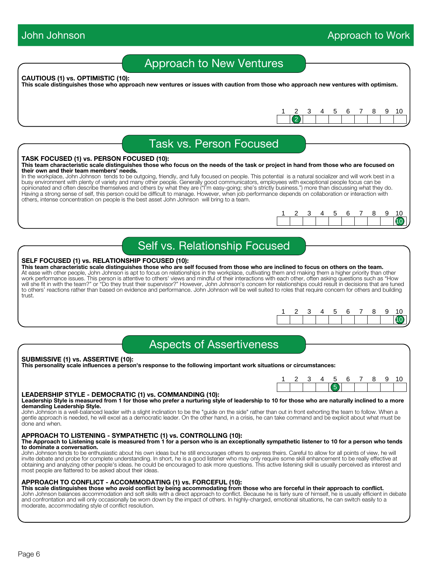Page 6

## Approach to New Ventures

#### **CAUTIOUS (1) vs. OPTIMISTIC (10):**

**This scale distinguishes those who approach new ventures or issues with caution from those who approach new ventures with optimism.**

Task vs. Person Focused

#### **TASK FOCUSED (1) vs. PERSON FOCUSED (10):**

#### **This team characteristic scale distinguishes those who focus on the needs of the task or project in hand from those who are focused on their own and their team members' needs.**

In the workplace, John Johnson tends to be outgoing, friendly, and fully focused on people. This potential is a natural socializer and will work best in a busy environment with plenty of variety and many other people. Generally good communicators, employees with exceptional people focus can be opinionated and often describe themselves and others by what they are ("I'm easy-going; she's strictly business.") more than discussing what they do. Having a strong sense of self, this person could be difficult to manage. However, when job performance depends on collaboration or interaction with others, intense concentration on people is the best asset John Johnson will bring to a team.

Self vs. Relationship Focused

#### **SELF FOCUSED (1) vs. RELATIONSHIP FOCUSED (10):**

**This team characteristic scale distinguishes those who are self focused from those who are inclined to focus on others on the team.** At ease with other people, John Johnson is apt to focus on relationships in the workplace, cultivating them and making them a higher priority than other work performance issues. This person is attentive to others' views and mindful of their interactions with each other, often asking questions such as "How will she fit in with the team?" or "Do they trust their supervisor?" However, John Johnson's concern for relationships could result in decisions that are tuned to others' reactions rather than based on evidence and performance. John Johnson will be well suited to roles that require concern for others and building trust.

|  |  |  |  |  | $\sim$<br>0 |
|--|--|--|--|--|-------------|
|  |  |  |  |  |             |
|  |  |  |  |  |             |

### Aspects of Assertiveness

#### **SUBMISSIVE (1) vs. ASSERTIVE (10): This personality scale influences a person's response to the following important work situations or circumstances:**



#### **LEADERSHIP STYLE - DEMOCRATIC (1) vs. COMMANDING (10): Leadership Style is measured from 1 for those who prefer a nurturing style of leadership to 10 for those who are naturally inclined to a more demanding Leadership Style.**

John Johnson is a well-balanced leader with a slight inclination to be the "guide on the side" rather than out in front exhorting the team to follow. When a gentle approach is needed, he will excel as a democratic leader. On the other hand, in a crisis, he can take command and be explicit about what must be done and when.

#### **APPROACH TO LISTENING - SYMPATHETIC (1) vs. CONTROLLING (10):**

**The Approach to Listening scale is measured from 1 for a person who is an exceptionally sympathetic listener to 10 for a person who tends to dominate a conversation.**

John Johnson tends to be enthusiastic about his own ideas but he still encourages others to express theirs. Careful to allow for all points of view, he will invite debate and probe for complete understanding. In short, he is a good listener who may only require some skill enhancement to be really effective at obtaining and analyzing other people's ideas. he could be encouraged to ask more questions. This active listening skill is usually perceived as interest and most people are flattered to be asked about their ideas.

### **APPROACH TO CONFLICT - ACCOMMODATING (1) vs. FORCEFUL (10):**

**This scale distinguishes those who avoid conflict by being accommodating from those who are forceful in their approach to conflict.** John Johnson balances accommodation and soft skills with a direct approach to conflict. Because he is fairly sure of himself, he is usually efficient in debate and confrontation and will only occasionally be worn down by the impact of others. In highly-charged, emotional situations, he can switch easily to a moderate, accommodating style of conflict resolution.



1 2 3 4 5 6 7 8 9 10



10